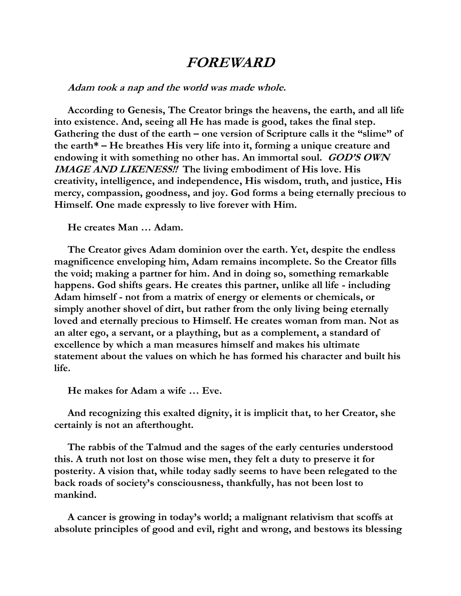## **FOREWARD**

## **Adam took a nap and the world was made whole.**

 **According to Genesis, The Creator brings the heavens, the earth, and all life into existence. And, seeing all He has made is good, takes the final step. Gathering the dust of the earth – one version of Scripture calls it the "slime" of the earth\* – He breathes His very life into it, forming a unique creature and endowing it with something no other has. An immortal soul. GOD'S OWN IMAGE AND LIKENESS!! The living embodiment of His love. His creativity, intelligence, and independence, His wisdom, truth, and justice, His mercy, compassion, goodness, and joy. God forms a being eternally precious to Himself. One made expressly to live forever with Him.** 

 **He creates Man … Adam.**

 **The Creator gives Adam dominion over the earth. Yet, despite the endless magnificence enveloping him, Adam remains incomplete. So the Creator fills the void; making a partner for him. And in doing so, something remarkable happens. God shifts gears. He creates this partner, unlike all life - including Adam himself - not from a matrix of energy or elements or chemicals, or simply another shovel of dirt, but rather from the only living being eternally loved and eternally precious to Himself. He creates woman from man. Not as an alter ego, a servant, or a plaything, but as a complement, a standard of excellence by which a man measures himself and makes his ultimate statement about the values on which he has formed his character and built his life.** 

 **He makes for Adam a wife … Eve.**

 **And recognizing this exalted dignity, it is implicit that, to her Creator, she certainly is not an afterthought.**

 **The rabbis of the Talmud and the sages of the early centuries understood this. A truth not lost on those wise men, they felt a duty to preserve it for posterity. A vision that, while today sadly seems to have been relegated to the back roads of society's consciousness, thankfully, has not been lost to mankind.** 

 **A cancer is growing in today's world; a malignant relativism that scoffs at absolute principles of good and evil, right and wrong, and bestows its blessing**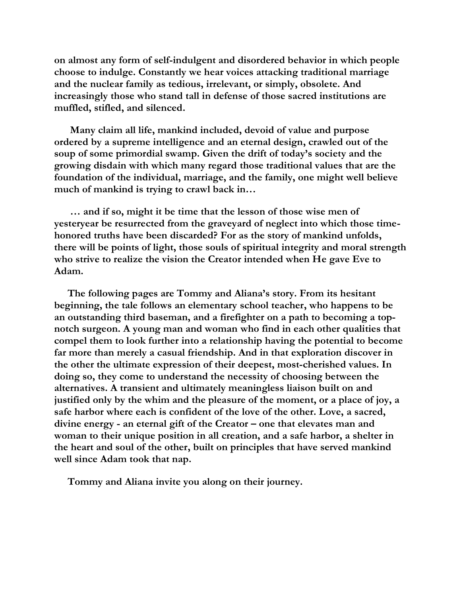**on almost any form of self-indulgent and disordered behavior in which people choose to indulge. Constantly we hear voices attacking traditional marriage and the nuclear family as tedious, irrelevant, or simply, obsolete. And increasingly those who stand tall in defense of those sacred institutions are muffled, stifled, and silenced.**

 **Many claim all life, mankind included, devoid of value and purpose ordered by a supreme intelligence and an eternal design, crawled out of the soup of some primordial swamp. Given the drift of today's society and the growing disdain with which many regard those traditional values that are the foundation of the individual, marriage, and the family, one might well believe much of mankind is trying to crawl back in…**

 **… and if so, might it be time that the lesson of those wise men of yesteryear be resurrected from the graveyard of neglect into which those timehonored truths have been discarded? For as the story of mankind unfolds, there will be points of light, those souls of spiritual integrity and moral strength who strive to realize the vision the Creator intended when He gave Eve to Adam.**

 **The following pages are Tommy and Aliana's story. From its hesitant beginning, the tale follows an elementary school teacher, who happens to be an outstanding third baseman, and a firefighter on a path to becoming a topnotch surgeon. A young man and woman who find in each other qualities that compel them to look further into a relationship having the potential to become far more than merely a casual friendship. And in that exploration discover in the other the ultimate expression of their deepest, most-cherished values. In doing so, they come to understand the necessity of choosing between the alternatives. A transient and ultimately meaningless liaison built on and justified only by the whim and the pleasure of the moment, or a place of joy, a safe harbor where each is confident of the love of the other. Love, a sacred, divine energy - an eternal gift of the Creator – one that elevates man and woman to their unique position in all creation, and a safe harbor, a shelter in the heart and soul of the other, built on principles that have served mankind well since Adam took that nap.**

 **Tommy and Aliana invite you along on their journey.**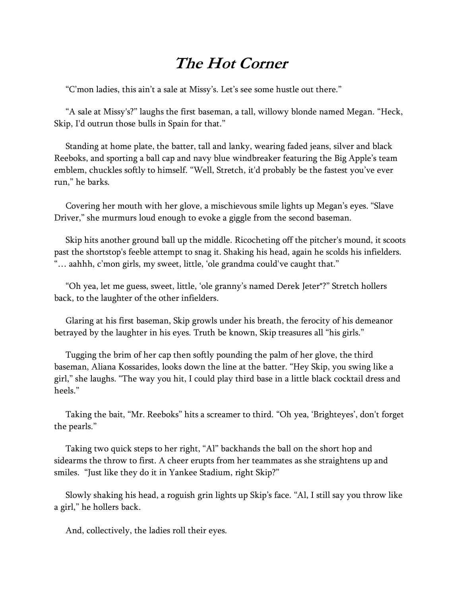## **The Hot Corner**

"C'mon ladies, this ain't a sale at Missy's. Let's see some hustle out there."

 "A sale at Missy's?" laughs the first baseman, a tall, willowy blonde named Megan. "Heck, Skip, I'd outrun those bulls in Spain for that."

 Standing at home plate, the batter, tall and lanky, wearing faded jeans, silver and black Reeboks, and sporting a ball cap and navy blue windbreaker featuring the Big Apple's team emblem, chuckles softly to himself. "Well, Stretch, it'd probably be the fastest you've ever run," he barks.

 Covering her mouth with her glove, a mischievous smile lights up Megan's eyes. "Slave Driver," she murmurs loud enough to evoke a giggle from the second baseman.

 Skip hits another ground ball up the middle. Ricocheting off the pitcher's mound, it scoots past the shortstop's feeble attempt to snag it. Shaking his head, again he scolds his infielders. "… aahhh, c'mon girls, my sweet, little, 'ole grandma could've caught that."

 "Oh yea, let me guess, sweet, little, 'ole granny's named Derek Jeter\*?" Stretch hollers back, to the laughter of the other infielders.

 Glaring at his first baseman, Skip growls under his breath, the ferocity of his demeanor betrayed by the laughter in his eyes. Truth be known, Skip treasures all "his girls."

 Tugging the brim of her cap then softly pounding the palm of her glove, the third baseman, Aliana Kossarides, looks down the line at the batter. "Hey Skip, you swing like a girl," she laughs. "The way you hit, I could play third base in a little black cocktail dress and heels."

 Taking the bait, "Mr. Reeboks" hits a screamer to third. "Oh yea, 'Brighteyes', don't forget the pearls."

 Taking two quick steps to her right, "Al" backhands the ball on the short hop and sidearms the throw to first. A cheer erupts from her teammates as she straightens up and smiles. "Just like they do it in Yankee Stadium, right Skip?"

 Slowly shaking his head, a roguish grin lights up Skip's face. "Al, I still say you throw like a girl," he hollers back.

And, collectively, the ladies roll their eyes.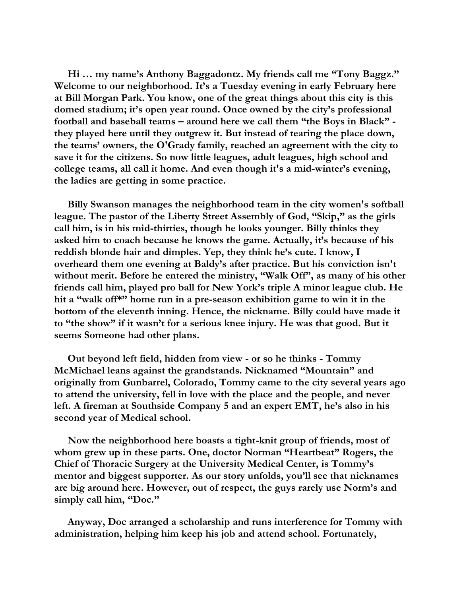**Hi … my name's Anthony Baggadontz. My friends call me "Tony Baggz." Welcome to our neighborhood. It's a Tuesday evening in early February here at Bill Morgan Park. You know, one of the great things about this city is this domed stadium; it's open year round. Once owned by the city's professional football and baseball teams – around here we call them "the Boys in Black" they played here until they outgrew it. But instead of tearing the place down, the teams' owners, the O'Grady family, reached an agreement with the city to save it for the citizens. So now little leagues, adult leagues, high school and college teams, all call it home. And even though it's a mid-winter's evening, the ladies are getting in some practice.**

 **Billy Swanson manages the neighborhood team in the city women's softball league. The pastor of the Liberty Street Assembly of God, "Skip," as the girls call him, is in his mid-thirties, though he looks younger. Billy thinks they asked him to coach because he knows the game. Actually, it's because of his reddish blonde hair and dimples. Yep, they think he's cute. I know, I overheard them one evening at Baldy's after practice. But his conviction isn't without merit. Before he entered the ministry, "Walk Off", as many of his other friends call him, played pro ball for New York's triple A minor league club. He hit a "walk off\*" home run in a pre-season exhibition game to win it in the bottom of the eleventh inning. Hence, the nickname. Billy could have made it to "the show" if it wasn't for a serious knee injury. He was that good. But it seems Someone had other plans.**

 **Out beyond left field, hidden from view - or so he thinks - Tommy McMichael leans against the grandstands. Nicknamed "Mountain" and originally from Gunbarrel, Colorado, Tommy came to the city several years ago to attend the university, fell in love with the place and the people, and never left. A fireman at Southside Company 5 and an expert EMT, he's also in his second year of Medical school.**

 **Now the neighborhood here boasts a tight-knit group of friends, most of whom grew up in these parts. One, doctor Norman "Heartbeat" Rogers, the Chief of Thoracic Surgery at the University Medical Center, is Tommy's mentor and biggest supporter. As our story unfolds, you'll see that nicknames are big around here. However, out of respect, the guys rarely use Norm's and simply call him, "Doc."** 

 **Anyway, Doc arranged a scholarship and runs interference for Tommy with administration, helping him keep his job and attend school. Fortunately,**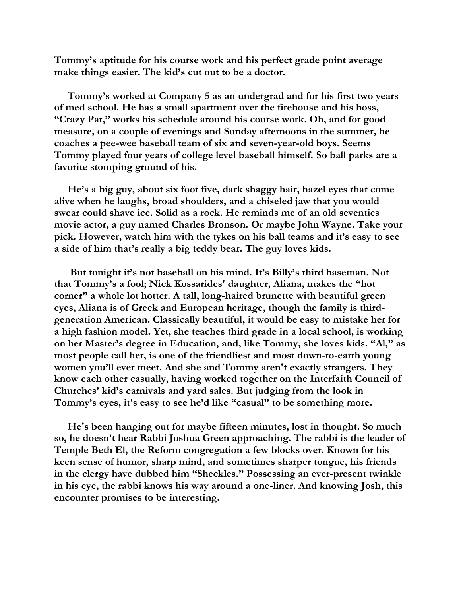**Tommy's aptitude for his course work and his perfect grade point average make things easier. The kid's cut out to be a doctor.**

 **Tommy's worked at Company 5 as an undergrad and for his first two years of med school. He has a small apartment over the firehouse and his boss, "Crazy Pat," works his schedule around his course work. Oh, and for good measure, on a couple of evenings and Sunday afternoons in the summer, he coaches a pee-wee baseball team of six and seven-year-old boys. Seems Tommy played four years of college level baseball himself. So ball parks are a favorite stomping ground of his.**

 **He's a big guy, about six foot five, dark shaggy hair, hazel eyes that come alive when he laughs, broad shoulders, and a chiseled jaw that you would swear could shave ice. Solid as a rock. He reminds me of an old seventies movie actor, a guy named Charles Bronson. Or maybe John Wayne. Take your pick. However, watch him with the tykes on his ball teams and it's easy to see a side of him that's really a big teddy bear. The guy loves kids.**

 **But tonight it's not baseball on his mind. It's Billy's third baseman. Not that Tommy's a fool; Nick Kossarides' daughter, Aliana, makes the "hot corner" a whole lot hotter. A tall, long-haired brunette with beautiful green eyes, Aliana is of Greek and European heritage, though the family is thirdgeneration American. Classically beautiful, it would be easy to mistake her for a high fashion model. Yet, she teaches third grade in a local school, is working on her Master's degree in Education, and, like Tommy, she loves kids. "Al," as most people call her, is one of the friendliest and most down-to-earth young women you'll ever meet. And she and Tommy aren't exactly strangers. They know each other casually, having worked together on the Interfaith Council of Churches' kid's carnivals and yard sales. But judging from the look in Tommy's eyes, it's easy to see he'd like "casual" to be something more.**

 **He's been hanging out for maybe fifteen minutes, lost in thought. So much so, he doesn't hear Rabbi Joshua Green approaching. The rabbi is the leader of Temple Beth El, the Reform congregation a few blocks over. Known for his keen sense of humor, sharp mind, and sometimes sharper tongue, his friends in the clergy have dubbed him "Sheckles." Possessing an ever-present twinkle in his eye, the rabbi knows his way around a one-liner. And knowing Josh, this encounter promises to be interesting.**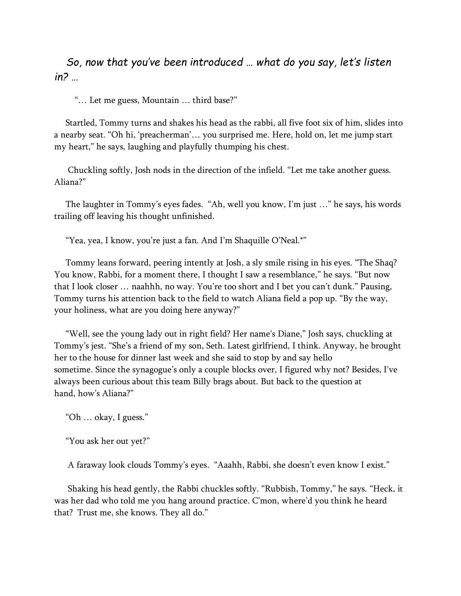*So, now that you've been introduced … what do you say, let's listen in? …*

"… Let me guess, Mountain … third base?"

 Startled, Tommy turns and shakes his head as the rabbi, all five foot six of him, slides into a nearby seat. "Oh hi, 'preacherman'… you surprised me. Here, hold on, let me jump start my heart," he says, laughing and playfully thumping his chest.

 Chuckling softly, Josh nods in the direction of the infield. "Let me take another guess. Aliana?"

 The laughter in Tommy's eyes fades. "Ah, well you know, I'm just …" he says, his words trailing off leaving his thought unfinished.

"Yea, yea, I know, you're just a fan. And I'm Shaquille O'Neal.\*"

 Tommy leans forward, peering intently at Josh, a sly smile rising in his eyes. "The Shaq? You know, Rabbi, for a moment there, I thought I saw a resemblance," he says. "But now that I look closer … naahhh, no way. You're too short and I bet you can't dunk." Pausing, Tommy turns his attention back to the field to watch Aliana field a pop up. "By the way, your holiness, what are you doing here anyway?"

 "Well, see the young lady out in right field? Her name's Diane," Josh says, chuckling at Tommy's jest. "She's a friend of my son, Seth. Latest girlfriend, I think. Anyway, he brought her to the house for dinner last week and she said to stop by and say hello sometime. Since the synagogue's only a couple blocks over, I figured why not? Besides, I've always been curious about this team Billy brags about. But back to the question at hand, how's Aliana?"

"Oh … okay, I guess."

"You ask her out yet?"

A faraway look clouds Tommy's eyes. "Aaahh, Rabbi, she doesn't even know I exist."

 Shaking his head gently, the Rabbi chuckles softly. "Rubbish, Tommy," he says. "Heck, it was her dad who told me you hang around practice. C'mon, where'd you think he heard that? Trust me, she knows. They all do."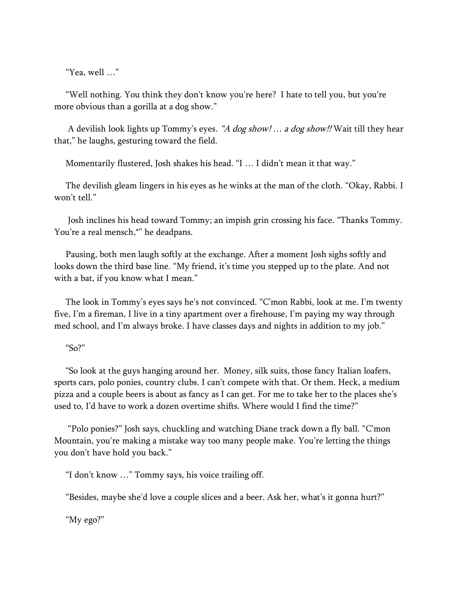"Yea, well …"

 "Well nothing. You think they don't know you're here? I hate to tell you, but you're more obvious than a gorilla at a dog show."

A devilish look lights up Tommy's eyes. *"A dog show! … a dog show!!* Wait till they hear that," he laughs, gesturing toward the field.

Momentarily flustered, Josh shakes his head. "I … I didn't mean it that way."

 The devilish gleam lingers in his eyes as he winks at the man of the cloth. "Okay, Rabbi. I won't tell."

 Josh inclines his head toward Tommy; an impish grin crossing his face. "Thanks Tommy. You're a real mensch,\*" he deadpans.

 Pausing, both men laugh softly at the exchange. After a moment Josh sighs softly and looks down the third base line. "My friend, it's time you stepped up to the plate. And not with a bat, if you know what I mean."

 The look in Tommy's eyes says he's not convinced. "C'mon Rabbi, look at me. I'm twenty five, I'm a fireman, I live in a tiny apartment over a firehouse, I'm paying my way through med school, and I'm always broke. I have classes days and nights in addition to my job."

## "So?"

 "So look at the guys hanging around her. Money, silk suits, those fancy Italian loafers, sports cars, polo ponies, country clubs. I can't compete with that. Or them. Heck, a medium pizza and a couple beers is about as fancy as I can get. For me to take her to the places she's used to, I'd have to work a dozen overtime shifts. Where would I find the time?"

 "Polo ponies?" Josh says, chuckling and watching Diane track down a fly ball. "C'mon Mountain, you're making a mistake way too many people make. You're letting the things you don't have hold you back."

"I don't know …" Tommy says, his voice trailing off.

"Besides, maybe she'd love a couple slices and a beer. Ask her, what's it gonna hurt?"

"My ego?"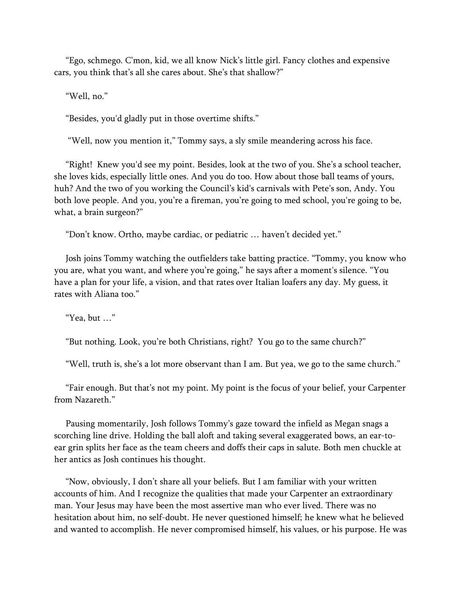"Ego, schmego. C'mon, kid, we all know Nick's little girl. Fancy clothes and expensive cars, you think that's all she cares about. She's that shallow?"

"Well, no."

"Besides, you'd gladly put in those overtime shifts."

"Well, now you mention it," Tommy says, a sly smile meandering across his face.

 "Right! Knew you'd see my point. Besides, look at the two of you. She's a school teacher, she loves kids, especially little ones. And you do too. How about those ball teams of yours, huh? And the two of you working the Council's kid's carnivals with Pete's son, Andy. You both love people. And you, you're a fireman, you're going to med school, you're going to be, what, a brain surgeon?"

"Don't know. Ortho, maybe cardiac, or pediatric … haven't decided yet."

 Josh joins Tommy watching the outfielders take batting practice. "Tommy, you know who you are, what you want, and where you're going," he says after a moment's silence. "You have a plan for your life, a vision, and that rates over Italian loafers any day. My guess, it rates with Aliana too."

"Yea, but …"

"But nothing. Look, you're both Christians, right? You go to the same church?"

"Well, truth is, she's a lot more observant than I am. But yea, we go to the same church."

 "Fair enough. But that's not my point. My point is the focus of your belief, your Carpenter from Nazareth<sup>"</sup>

 Pausing momentarily, Josh follows Tommy's gaze toward the infield as Megan snags a scorching line drive. Holding the ball aloft and taking several exaggerated bows, an ear-toear grin splits her face as the team cheers and doffs their caps in salute. Both men chuckle at her antics as Josh continues his thought.

 "Now, obviously, I don't share all your beliefs. But I am familiar with your written accounts of him. And I recognize the qualities that made your Carpenter an extraordinary man. Your Jesus may have been the most assertive man who ever lived. There was no hesitation about him, no self-doubt. He never questioned himself; he knew what he believed and wanted to accomplish. He never compromised himself, his values, or his purpose. He was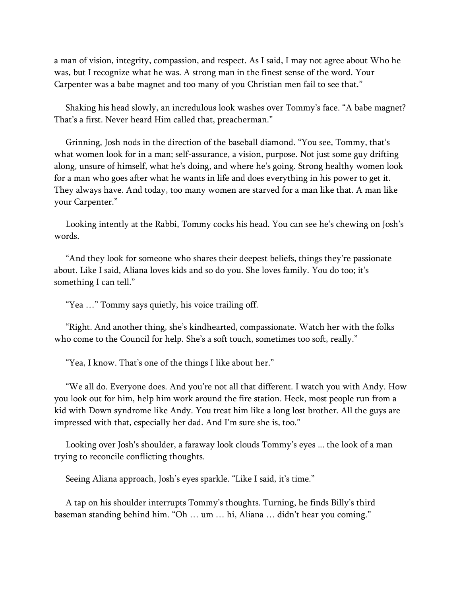a man of vision, integrity, compassion, and respect. As I said, I may not agree about Who he was, but I recognize what he was. A strong man in the finest sense of the word. Your Carpenter was a babe magnet and too many of you Christian men fail to see that."

 Shaking his head slowly, an incredulous look washes over Tommy's face. "A babe magnet? That's a first. Never heard Him called that, preacherman."

 Grinning, Josh nods in the direction of the baseball diamond. "You see, Tommy, that's what women look for in a man; self-assurance, a vision, purpose. Not just some guy drifting along, unsure of himself, what he's doing, and where he's going. Strong healthy women look for a man who goes after what he wants in life and does everything in his power to get it. They always have. And today, too many women are starved for a man like that. A man like your Carpenter."

 Looking intently at the Rabbi, Tommy cocks his head. You can see he's chewing on Josh's words.

 "And they look for someone who shares their deepest beliefs, things they're passionate about. Like I said, Aliana loves kids and so do you. She loves family. You do too; it's something I can tell."

"Yea …" Tommy says quietly, his voice trailing off.

 "Right. And another thing, she's kindhearted, compassionate. Watch her with the folks who come to the Council for help. She's a soft touch, sometimes too soft, really."

"Yea, I know. That's one of the things I like about her."

 "We all do. Everyone does. And you're not all that different. I watch you with Andy. How you look out for him, help him work around the fire station. Heck, most people run from a kid with Down syndrome like Andy. You treat him like a long lost brother. All the guys are impressed with that, especially her dad. And I'm sure she is, too."

 Looking over Josh's shoulder, a faraway look clouds Tommy's eyes ... the look of a man trying to reconcile conflicting thoughts.

Seeing Aliana approach, Josh's eyes sparkle. "Like I said, it's time."

 A tap on his shoulder interrupts Tommy's thoughts. Turning, he finds Billy's third baseman standing behind him. "Oh … um … hi, Aliana … didn't hear you coming."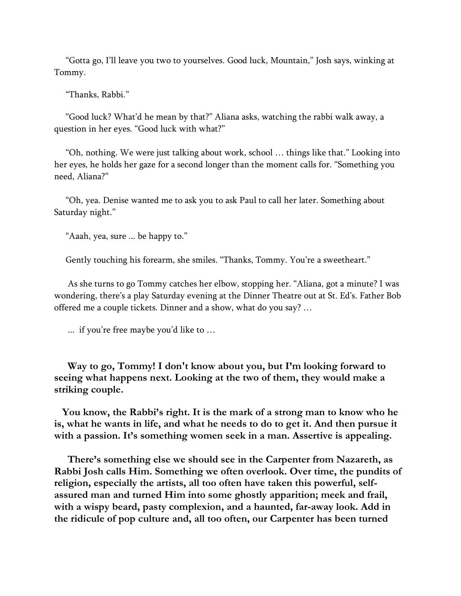"Gotta go, I'll leave you two to yourselves. Good luck, Mountain," Josh says, winking at Tommy.

"Thanks, Rabbi."

 "Good luck? What'd he mean by that?" Aliana asks, watching the rabbi walk away, a question in her eyes. "Good luck with what?"

 "Oh, nothing. We were just talking about work, school … things like that." Looking into her eyes, he holds her gaze for a second longer than the moment calls for. "Something you need, Aliana?"

 "Oh, yea. Denise wanted me to ask you to ask Paul to call her later. Something about Saturday night."

"Aaah, yea, sure ... be happy to."

Gently touching his forearm, she smiles. "Thanks, Tommy. You're a sweetheart."

 As she turns to go Tommy catches her elbow, stopping her. "Aliana, got a minute? I was wondering, there's a play Saturday evening at the Dinner Theatre out at St. Ed's. Father Bob offered me a couple tickets. Dinner and a show, what do you say? …

... if you're free maybe you'd like to …

 **Way to go, Tommy! I don't know about you, but I'm looking forward to seeing what happens next. Looking at the two of them, they would make a striking couple.**

 **You know, the Rabbi's right. It is the mark of a strong man to know who he is, what he wants in life, and what he needs to do to get it. And then pursue it with a passion. It's something women seek in a man. Assertive is appealing.**

 **There's something else we should see in the Carpenter from Nazareth, as Rabbi Josh calls Him. Something we often overlook. Over time, the pundits of religion, especially the artists, all too often have taken this powerful, selfassured man and turned Him into some ghostly apparition; meek and frail, with a wispy beard, pasty complexion, and a haunted, far-away look. Add in the ridicule of pop culture and, all too often, our Carpenter has been turned**